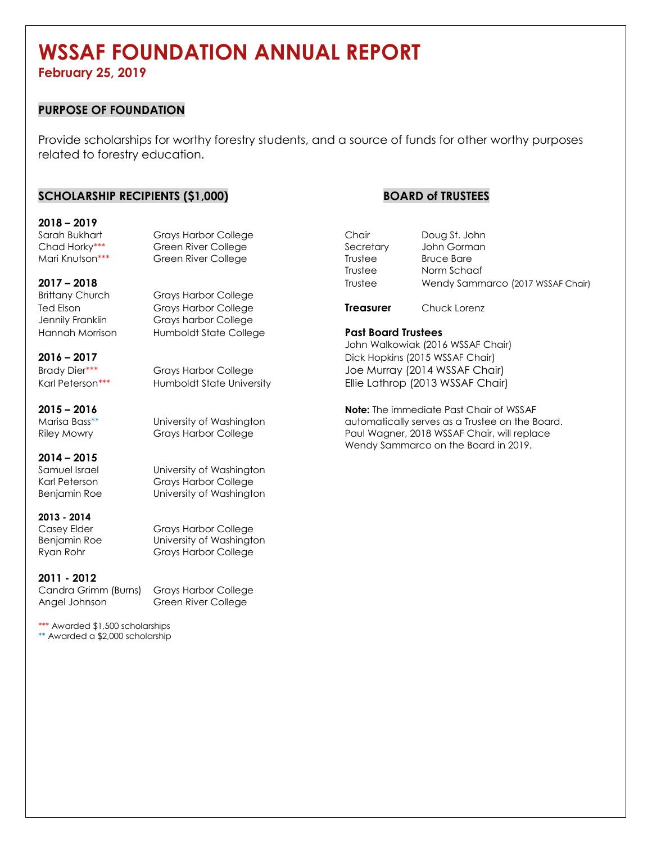# **WSSAF FOUNDATION ANNUAL REPORT**

**February 25, 2019** 

## **PURPOSE OF FOUNDATION**

Provide scholarships for worthy forestry students, and a source of funds for other worthy purposes related to forestry education.

## **SCHOLARSHIP RECIPIENTS (\$1,000) BOARD of TRUSTEES**

# **2018 – 2019**

Brittany Church Grays Harbor College Ted Elson Grays Harbor College **Treasurer** Chuck Lorenz

Grays harbor College Hannah Morrison Humboldt State College **Past Board Trustees**

University of Washington

## **2014 – 2015**

Karl Peterson Grays Harbor College Benjamin Roe University of Washington

**2013 - 2014**

Casey Elder Grays Harbor College Benjamin Roe University of Washington Grays Harbor College

## **2011 - 2012**

Candra Grimm (Burns) Grays Harbor College Angel Johnson Green River College

\*\*\* Awarded \$1,500 scholarships \*\* Awarded a \$2,000 scholarship

| Sarah Bukhart   | <b>Grays Harbor College</b> | Chair     | Doug St. John                     |
|-----------------|-----------------------------|-----------|-----------------------------------|
| Chad Horky***   | Green River College         | Secretary | John Gorman                       |
| Mari Knutson*** | Green River College         | Trustee   | <b>Bruce Bare</b>                 |
|                 |                             | Trustee   | Norm Schaaf                       |
| 2017 – 2018     |                             | Trustee   | Wendy Sammarco (2017 WSSAF Chair) |
|                 |                             |           |                                   |

John Walkowiak (2016 WSSAF Chair) **2016 – 2017** Dick Hopkins (2015 WSSAF Chair) Brady Dier\*\*\* **Grays Harbor College Multiple Harbor College** Joe Murray (2014 WSSAF Chair) Karl Peterson\*\*\* 
Humboldt State University

Hile Lathrop (2013 WSSAF Chair)

**2015 – 2016 Note:** The immediate Past Chair of WSSAF Marisa Bass\*\* University of Washington automatically serves as a Trustee on the Board. Grays Harbor College **Paul Wagner, 2018 WSSAF Chair, will replace** Wendy Sammarco on the Board in 2019.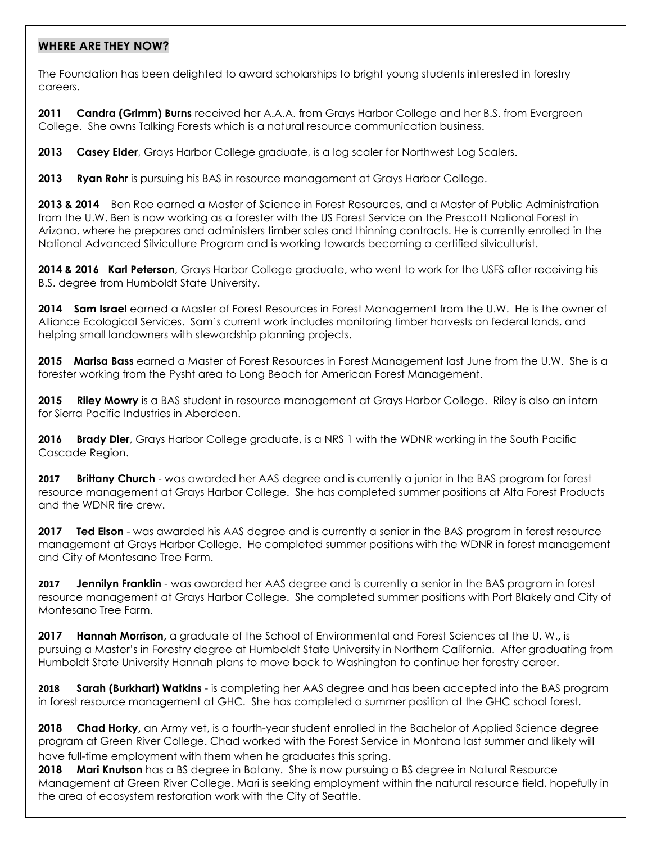## **WHERE ARE THEY NOW?**

The Foundation has been delighted to award scholarships to bright young students interested in forestry careers.

**2011 Candra (Grimm) Burns** received her A.A.A. from Grays Harbor College and her B.S. from Evergreen College. She owns Talking Forests which is a natural resource communication business.

**2013 Casey Elder**, Grays Harbor College graduate, is a log scaler for Northwest Log Scalers.

**2013 Ryan Rohr** is pursuing his BAS in resource management at Grays Harbor College.

**2013 & 2014** Ben Roe earned a Master of Science in Forest Resources, and a Master of Public Administration from the U.W. Ben is now working as a forester with the US Forest Service on the Prescott National Forest in Arizona, where he prepares and administers timber sales and thinning contracts. He is currently enrolled in the National Advanced Silviculture Program and is working towards becoming a certified silviculturist.

**2014 & 2016 Karl Peterson**, Grays Harbor College graduate, who went to work for the USFS after receiving his B.S. degree from Humboldt State University.

**2014 Sam Israel** earned a Master of Forest Resources in Forest Management from the U.W. He is the owner of Alliance Ecological Services. Sam's current work includes monitoring timber harvests on federal lands, and helping small landowners with stewardship planning projects.

**2015 Marisa Bass** earned a Master of Forest Resources in Forest Management last June from the U.W. She is a forester working from the Pysht area to Long Beach for American Forest Management.

**2015 Riley Mowry** is a BAS student in resource management at Grays Harbor College. Riley is also an intern for Sierra Pacific Industries in Aberdeen.

**2016 Brady Dier**, Grays Harbor College graduate, is a NRS 1 with the WDNR working in the South Pacific Cascade Region.

**2017 Brittany Church** - was awarded her AAS degree and is currently a junior in the BAS program for forest resource management at Grays Harbor College. She has completed summer positions at Alta Forest Products and the WDNR fire crew.

**2017 Ted Elson** - was awarded his AAS degree and is currently a senior in the BAS program in forest resource management at Grays Harbor College. He completed summer positions with the WDNR in forest management and City of Montesano Tree Farm.

**2017 Jennilyn Franklin** - was awarded her AAS degree and is currently a senior in the BAS program in forest resource management at Grays Harbor College. She completed summer positions with Port Blakely and City of Montesano Tree Farm.

**2017 Hannah Morrison,** a graduate of the School of Environmental and Forest Sciences at the U. W.**,** is pursuing a Master's in Forestry degree at Humboldt State University in Northern California. After graduating from Humboldt State University Hannah plans to move back to Washington to continue her forestry career.

**2018 Sarah (Burkhart) Watkins** - is completing her AAS degree and has been accepted into the BAS program in forest resource management at GHC. She has completed a summer position at the GHC school forest.

**2018 Chad Horky,** an Army vet, is a fourth-year student enrolled in the Bachelor of Applied Science degree program at Green River College. Chad worked with the Forest Service in Montana last summer and likely will have full-time employment with them when he graduates this spring.

**2018 Mari Knutson** has a BS degree in Botany. She is now pursuing a BS degree in Natural Resource Management at Green River College. Mari is seeking employment within the natural resource field, hopefully in the area of ecosystem restoration work with the City of Seattle.